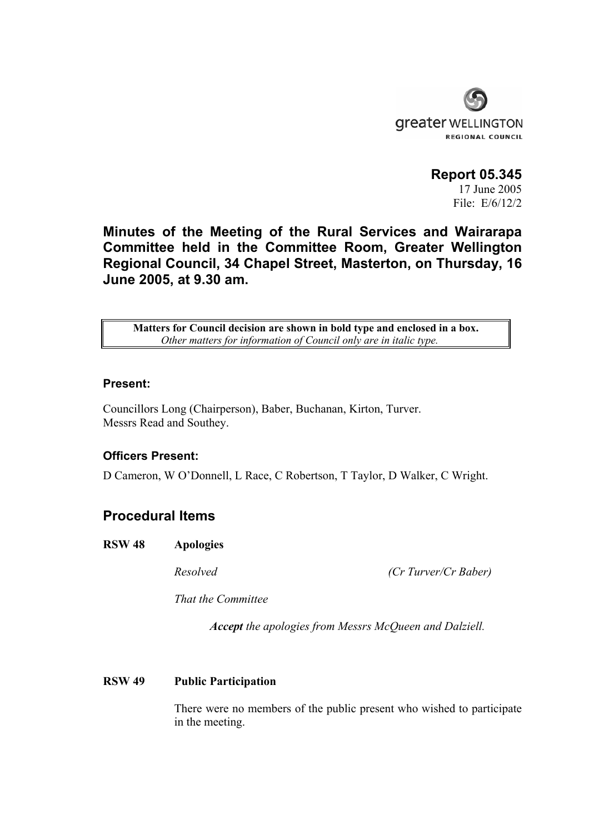

**Report 05.345**  17 June 2005 File: E/6/12/2

**Minutes of the Meeting of the Rural Services and Wairarapa Committee held in the Committee Room, Greater Wellington Regional Council, 34 Chapel Street, Masterton, on Thursday, 16 June 2005, at 9.30 am.** 

**Matters for Council decision are shown in bold type and enclosed in a box.** *Other matters for information of Council only are in italic type.*

#### **Present:**

Councillors Long (Chairperson), Baber, Buchanan, Kirton, Turver. Messrs Read and Southey.

#### **Officers Present:**

D Cameron, W O'Donnell, L Race, C Robertson, T Taylor, D Walker, C Wright.

# **Procedural Items**

**RSW 48 Apologies** 

*Resolved (Cr Turver/Cr Baber)* 

 *That the Committee* 

 *Accept the apologies from Messrs McQueen and Dalziell.* 

#### **RSW 49 Public Participation**

There were no members of the public present who wished to participate in the meeting.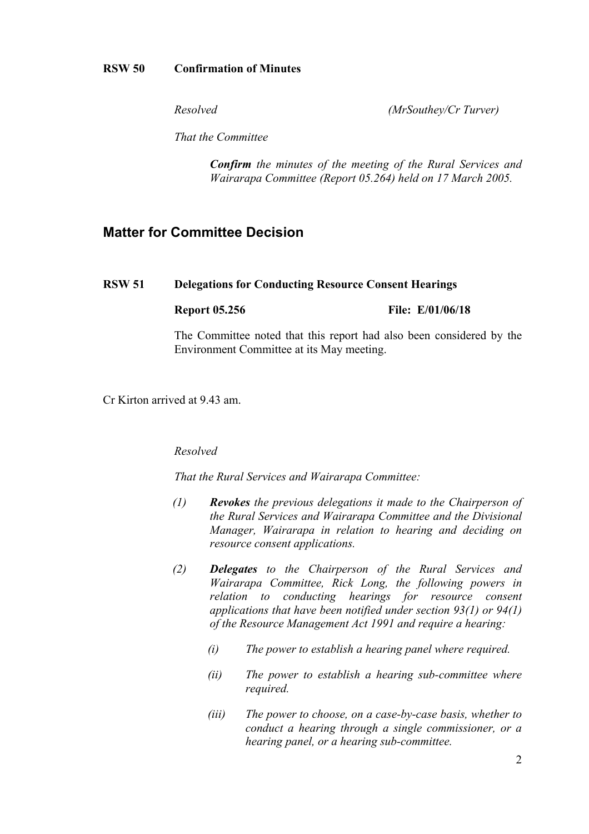### **RSW 50 Confirmation of Minutes**

*Resolved (MrSouthey/Cr Turver)* 

 *That the Committee* 

 *Confirm the minutes of the meeting of the Rural Services and Wairarapa Committee (Report 05.264) held on 17 March 2005.* 

# **Matter for Committee Decision**

#### **RSW 51 Delegations for Conducting Resource Consent Hearings**

#### **Report 05.256** File: E/01/06/18

The Committee noted that this report had also been considered by the Environment Committee at its May meeting.

Cr Kirton arrived at 9.43 am.

#### *Resolved*

*That the Rural Services and Wairarapa Committee:* 

- *(1) Revokes the previous delegations it made to the Chairperson of the Rural Services and Wairarapa Committee and the Divisional Manager, Wairarapa in relation to hearing and deciding on resource consent applications.*
- *(2) Delegates to the Chairperson of the Rural Services and Wairarapa Committee, Rick Long, the following powers in relation to conducting hearings for resource consent applications that have been notified under section 93(1) or 94(1) of the Resource Management Act 1991 and require a hearing:* 
	- *(i) The power to establish a hearing panel where required.*
	- *(ii) The power to establish a hearing sub-committee where required.*
	- *(iii) The power to choose, on a case-by-case basis, whether to conduct a hearing through a single commissioner, or a hearing panel, or a hearing sub-committee.*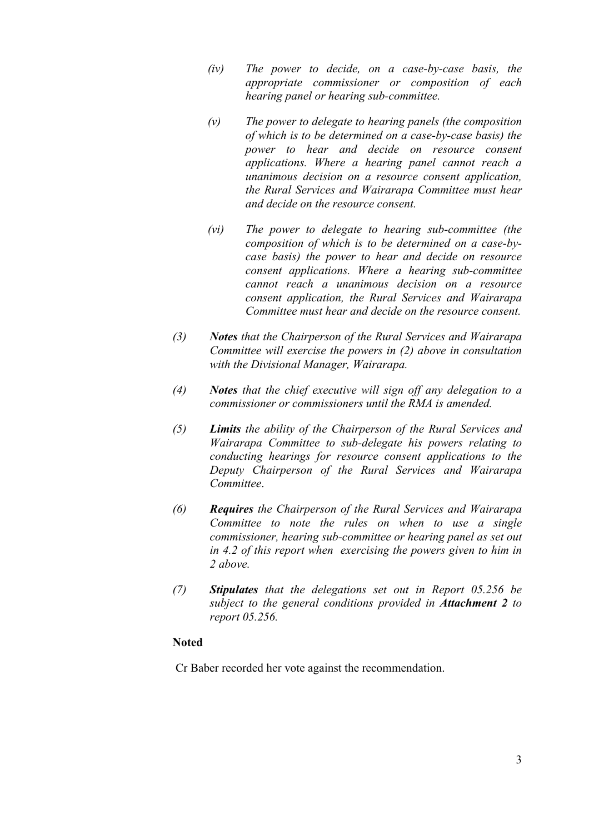- *(iv) The power to decide, on a case-by-case basis, the appropriate commissioner or composition of each hearing panel or hearing sub-committee.*
- *(v) The power to delegate to hearing panels (the composition of which is to be determined on a case-by-case basis) the power to hear and decide on resource consent applications. Where a hearing panel cannot reach a unanimous decision on a resource consent application, the Rural Services and Wairarapa Committee must hear and decide on the resource consent.*
- *(vi) The power to delegate to hearing sub-committee (the composition of which is to be determined on a case-bycase basis) the power to hear and decide on resource consent applications. Where a hearing sub-committee cannot reach a unanimous decision on a resource consent application, the Rural Services and Wairarapa Committee must hear and decide on the resource consent.*
- *(3) Notes that the Chairperson of the Rural Services and Wairarapa Committee will exercise the powers in (2) above in consultation with the Divisional Manager, Wairarapa.*
- *(4) Notes that the chief executive will sign off any delegation to a commissioner or commissioners until the RMA is amended.*
- *(5) Limits the ability of the Chairperson of the Rural Services and Wairarapa Committee to sub-delegate his powers relating to conducting hearings for resource consent applications to the Deputy Chairperson of the Rural Services and Wairarapa Committee*.
- *(6) Requires the Chairperson of the Rural Services and Wairarapa Committee to note the rules on when to use a single commissioner, hearing sub-committee or hearing panel as set out in 4.2 of this report when exercising the powers given to him in 2 above.*
- *(7) Stipulates that the delegations set out in Report 05.256 be subject to the general conditions provided in Attachment 2 to report 05.256.*

#### **Noted**

Cr Baber recorded her vote against the recommendation.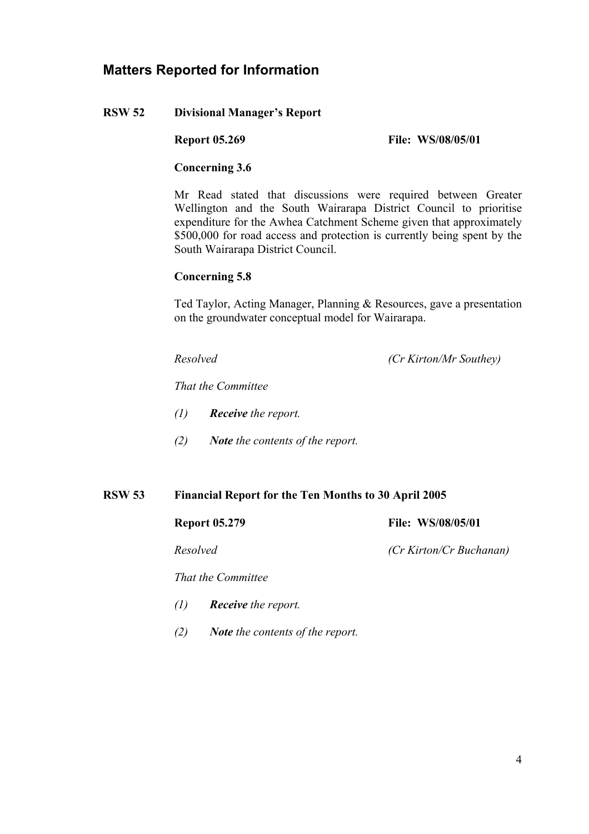# **Matters Reported for Information**

## **RSW 52 Divisional Manager's Report**

**Report 05.269** File: WS/08/05/01

### **Concerning 3.6**

Mr Read stated that discussions were required between Greater Wellington and the South Wairarapa District Council to prioritise expenditure for the Awhea Catchment Scheme given that approximately \$500,000 for road access and protection is currently being spent by the South Wairarapa District Council.

## **Concerning 5.8**

Ted Taylor, Acting Manager, Planning & Resources, gave a presentation on the groundwater conceptual model for Wairarapa.

*Resolved (Cr Kirton/Mr Southey)* 

 *That the Committee* 

- *(1) Receive the report.*
- *(2) Note the contents of the report.*

#### **RSW 53 Financial Report for the Ten Months to 30 April 2005**

**Report 05.279** File: WS/08/05/01

 *That the Committee* 

- *(1) Receive the report.*
- *(2) Note the contents of the report.*

*Resolved (Cr Kirton/Cr Buchanan)*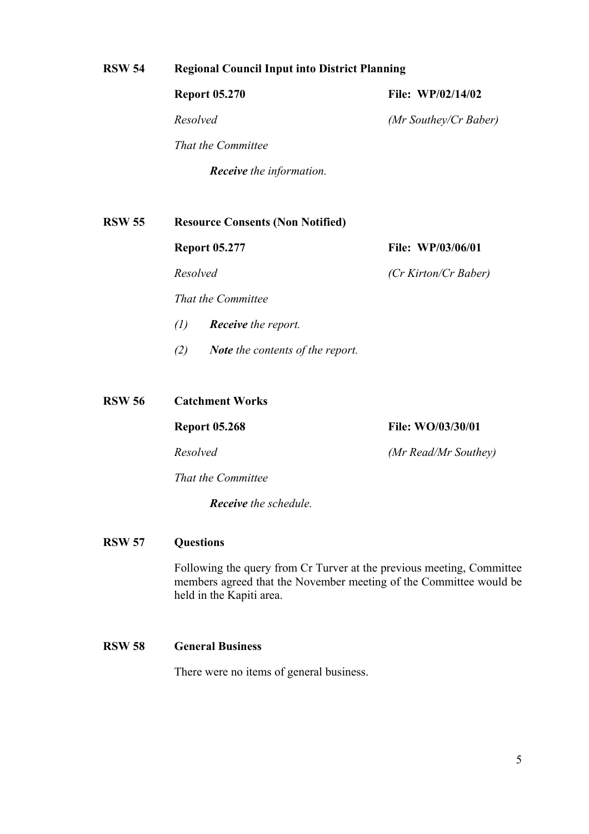# **RSW 54 Regional Council Input into District Planning**

| <b>Report 05.270</b>            | <b>File: WP/02/14/02</b> |
|---------------------------------|--------------------------|
| Resolved                        | (Mr Southey/Cr Baber)    |
| That the Committee              |                          |
| <b>Receive</b> the information. |                          |

**RSW 55 Resource Consents (Non Notified) Report 05.277 File: WP/03/06/01** *Resolved (Cr Kirton/Cr Baber)* 

 *That the Committee* 

- *(1) Receive the report.*
- *(2) Note the contents of the report.*

**RSW 56 Catchment Works** 

**Report 05.268** File: WO/03/30/01

*Resolved (Mr Read/Mr Southey)* 

 *That the Committee* 

 *Receive the schedule.* 

#### **RSW 57 Questions**

Following the query from Cr Turver at the previous meeting, Committee members agreed that the November meeting of the Committee would be held in the Kapiti area.

## **RSW 58 General Business**

There were no items of general business.